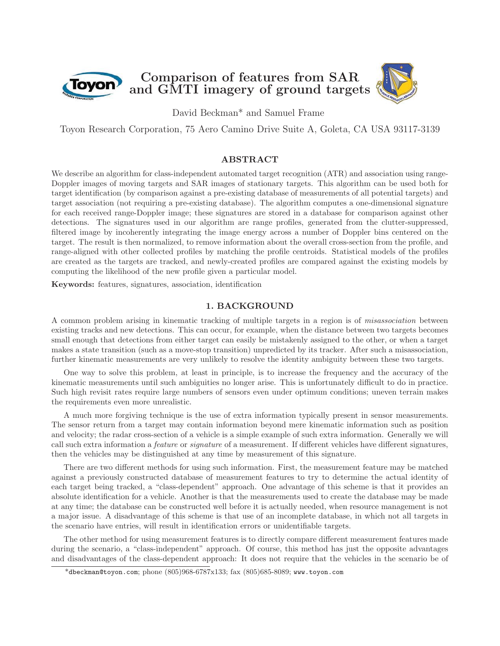



David Beckman\* and Samuel Frame

Toyon Research Corporation, 75 Aero Camino Drive Suite A, Goleta, CA USA 93117-3139

# **ABSTRACT**

We describe an algorithm for class-independent automated target recognition (ATR) and association using range-Doppler images of moving targets and SAR images of stationary targets. This algorithm can be used both for target identification (by comparison against a pre-existing database of measurements of all potential targets) and target association (not requiring a pre-existing database). The algorithm computes a one-dimensional signature for each received range-Doppler image; these signatures are stored in a database for comparison against other detections. The signatures used in our algorithm are range profiles, generated from the clutter-suppressed, filtered image by incoherently integrating the image energy across a number of Doppler bins centered on the target. The result is then normalized, to remove information about the overall cross-section from the profile, and range-aligned with other collected profiles by matching the profile centroids. Statistical models of the profiles are created as the targets are tracked, and newly-created profiles are compared against the existing models by computing the likelihood of the new profile given a particular model.

**Keywords:** features, signatures, association, identification

## **1. BACKGROUND**

A common problem arising in kinematic tracking of multiple targets in a region is of misassociation between existing tracks and new detections. This can occur, for example, when the distance between two targets becomes small enough that detections from either target can easily be mistakenly assigned to the other, or when a target makes a state transition (such as a move-stop transition) unpredicted by its tracker. After such a misassociation, further kinematic measurements are very unlikely to resolve the identity ambiguity between these two targets.

One way to solve this problem, at least in principle, is to increase the frequency and the accuracy of the kinematic measurements until such ambiguities no longer arise. This is unfortunately difficult to do in practice. Such high revisit rates require large numbers of sensors even under optimum conditions; uneven terrain makes the requirements even more unrealistic.

A much more forgiving technique is the use of extra information typically present in sensor measurements. The sensor return from a target may contain information beyond mere kinematic information such as position and velocity; the radar cross-section of a vehicle is a simple example of such extra information. Generally we will call such extra information a feature or signature of a measurement. If different vehicles have different signatures, then the vehicles may be distinguished at any time by measurement of this signature.

There are two different methods for using such information. First, the measurement feature may be matched against a previously constructed database of measurement features to try to determine the actual identity of each target being tracked, a "class-dependent" approach. One advantage of this scheme is that it provides an absolute identification for a vehicle. Another is that the measurements used to create the database may be made at any time; the database can be constructed well before it is actually needed, when resource management is not a major issue. A disadvantage of this scheme is that use of an incomplete database, in which not all targets in the scenario have entries, will result in identification errors or unidentifiable targets.

The other method for using measurement features is to directly compare different measurement features made during the scenario, a "class-independent" approach. Of course, this method has just the opposite advantages and disadvantages of the class-dependent approach: It does not require that the vehicles in the scenario be of

<sup>\*</sup>dbeckman@toyon.com; phone (805)968-6787x133; fax (805)685-8089; www.toyon.com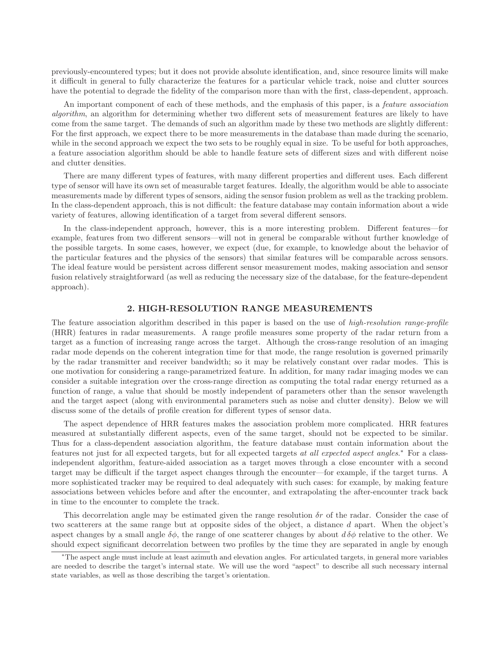previously-encountered types; but it does not provide absolute identification, and, since resource limits will make it difficult in general to fully characterize the features for a particular vehicle track, noise and clutter sources have the potential to degrade the fidelity of the comparison more than with the first, class-dependent, approach.

An important component of each of these methods, and the emphasis of this paper, is a *feature association* algorithm, an algorithm for determining whether two different sets of measurement features are likely to have come from the same target. The demands of such an algorithm made by these two methods are slightly different: For the first approach, we expect there to be more measurements in the database than made during the scenario, while in the second approach we expect the two sets to be roughly equal in size. To be useful for both approaches, a feature association algorithm should be able to handle feature sets of different sizes and with different noise and clutter densities.

There are many different types of features, with many different properties and different uses. Each different type of sensor will have its own set of measurable target features. Ideally, the algorithm would be able to associate measurements made by different types of sensors, aiding the sensor fusion problem as well as the tracking problem. In the class-dependent approach, this is not difficult: the feature database may contain information about a wide variety of features, allowing identification of a target from several different sensors.

In the class-independent approach, however, this is a more interesting problem. Different features—for example, features from two different sensors—will not in general be comparable without further knowledge of the possible targets. In some cases, however, we expect (due, for example, to knowledge about the behavior of the particular features and the physics of the sensors) that similar features will be comparable across sensors. The ideal feature would be persistent across different sensor measurement modes, making association and sensor fusion relatively straightforward (as well as reducing the necessary size of the database, for the feature-dependent approach).

### **2. HIGH-RESOLUTION RANGE MEASUREMENTS**

The feature association algorithm described in this paper is based on the use of *high-resolution range-profile* (HRR) features in radar measurements. A range profile measures some property of the radar return from a target as a function of increasing range across the target. Although the cross-range resolution of an imaging radar mode depends on the coherent integration time for that mode, the range resolution is governed primarily by the radar transmitter and receiver bandwidth; so it may be relatively constant over radar modes. This is one motivation for considering a range-parametrized feature. In addition, for many radar imaging modes we can consider a suitable integration over the cross-range direction as computing the total radar energy returned as a function of range, a value that should be mostly independent of parameters other than the sensor wavelength and the target aspect (along with environmental parameters such as noise and clutter density). Below we will discuss some of the details of profile creation for different types of sensor data.

The aspect dependence of HRR features makes the association problem more complicated. HRR features measured at substantially different aspects, even of the same target, should not be expected to be similar. Thus for a class-dependent association algorithm, the feature database must contain information about the features not just for all expected targets, but for all expected targets at all expected aspect angles.<sup>\*</sup> For a classindependent algorithm, feature-aided association as a target moves through a close encounter with a second target may be difficult if the target aspect changes through the encounter—for example, if the target turns. A more sophisticated tracker may be required to deal adequately with such cases: for example, by making feature associations between vehicles before and after the encounter, and extrapolating the after-encounter track back in time to the encounter to complete the track.

This decorrelation angle may be estimated given the range resolution  $\delta r$  of the radar. Consider the case of two scatterers at the same range but at opposite sides of the object, a distance d apart. When the object's aspect changes by a small angle  $\delta\phi$ , the range of one scatterer changes by about  $d\delta\phi$  relative to the other. We should expect significant decorrelation between two profiles by the time they are separated in angle by enough

<sup>∗</sup>The aspect angle must include at least azimuth and elevation angles. For articulated targets, in general more variables are needed to describe the target's internal state. We will use the word "aspect" to describe all such necessary internal state variables, as well as those describing the target's orientation.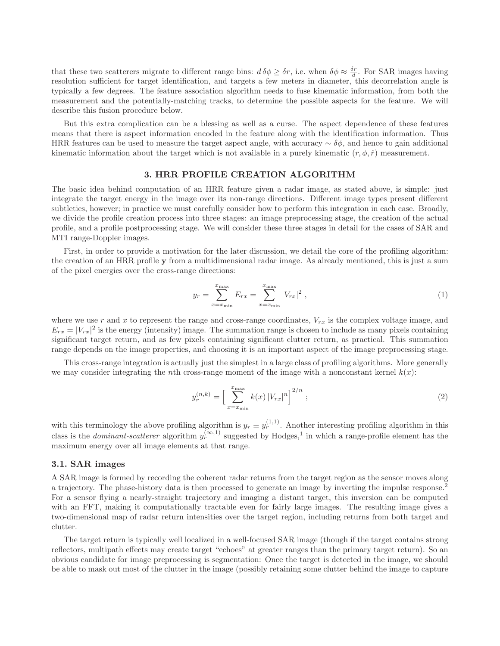that these two scatterers migrate to different range bins:  $d \delta \phi \geq \delta r$ , i.e. when  $\delta \phi \approx \frac{\delta r}{d}$ . For SAR images having resolution sufficient for target identification, and targets a few meters in diameter, this decorrelation angle is typically a few degrees. The feature association algorithm needs to fuse kinematic information, from both the measurement and the potentially-matching tracks, to determine the possible aspects for the feature. We will describe this fusion procedure below.

But this extra complication can be a blessing as well as a curse. The aspect dependence of these features means that there is aspect information encoded in the feature along with the identification information. Thus HRR features can be used to measure the target aspect angle, with accuracy  $\sim \delta \phi$ , and hence to gain additional kinematic information about the target which is not available in a purely kinematic  $(r, \phi, \dot{r})$  measurement.

## **3. HRR PROFILE CREATION ALGORITHM**

The basic idea behind computation of an HRR feature given a radar image, as stated above, is simple: just integrate the target energy in the image over its non-range directions. Different image types present different subtleties, however; in practice we must carefully consider how to perform this integration in each case. Broadly, we divide the profile creation process into three stages: an image preprocessing stage, the creation of the actual profile, and a profile postprocessing stage. We will consider these three stages in detail for the cases of SAR and MTI range-Doppler images.

First, in order to provide a motivation for the later discussion, we detail the core of the profiling algorithm: the creation of an HRR profile **y** from a multidimensional radar image. As already mentioned, this is just a sum of the pixel energies over the cross-range directions:

$$
y_r = \sum_{x=x_{\min}}^{x_{\max}} E_{rx} = \sum_{x=x_{\min}}^{x_{\max}} |V_{rx}|^2 , \qquad (1)
$$

where we use r and x to represent the range and cross-range coordinates,  $V_{rx}$  is the complex voltage image, and  $E_{rx} = |V_{rx}|^2$  is the energy (intensity) image. The summation range is chosen to include as many pixels containing significant target return, and as few pixels containing significant clutter return, as practical. This summation range depends on the image properties, and choosing it is an important aspect of the image preprocessing stage.

This cross-range integration is actually just the simplest in a large class of profiling algorithms. More generally we may consider integrating the nth cross-range moment of the image with a nonconstant kernel  $k(x)$ :

$$
y_r^{(n,k)} = \left[\sum_{x=x_{\min}}^{x_{\max}} k(x) |V_{rx}|^n\right]^{2/n};
$$
\n(2)

with this terminology the above profiling algorithm is  $y_r \equiv y_r^{(1,1)}$ . Another interesting profiling algorithm in this class is the *dominant-scatterer* algorithm  $y_r^{(\infty,1)}$  suggested by Hodges,<sup>1</sup> in which a range-profile element has the maximum energy over all image elements at that range.

#### **3.1. SAR images**

A SAR image is formed by recording the coherent radar returns from the target region as the sensor moves along a trajectory. The phase-history data is then processed to generate an image by inverting the impulse response.<sup>2</sup> For a sensor flying a nearly-straight trajectory and imaging a distant target, this inversion can be computed with an FFT, making it computationally tractable even for fairly large images. The resulting image gives a two-dimensional map of radar return intensities over the target region, including returns from both target and clutter.

The target return is typically well localized in a well-focused SAR image (though if the target contains strong reflectors, multipath effects may create target "echoes" at greater ranges than the primary target return). So an obvious candidate for image preprocessing is segmentation: Once the target is detected in the image, we should be able to mask out most of the clutter in the image (possibly retaining some clutter behind the image to capture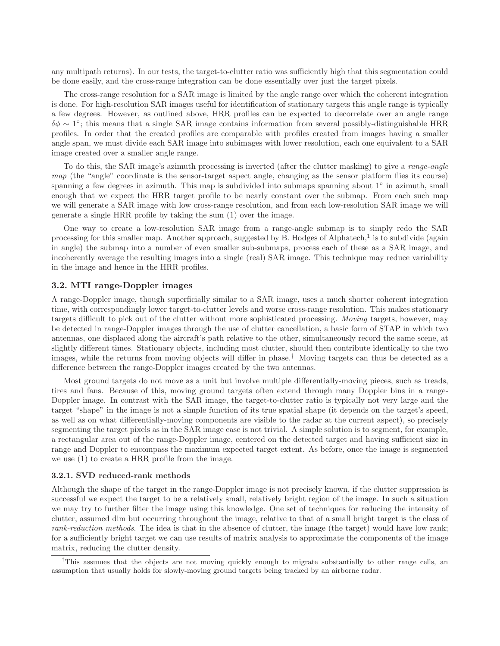any multipath returns). In our tests, the target-to-clutter ratio was sufficiently high that this segmentation could be done easily, and the cross-range integration can be done essentially over just the target pixels.

The cross-range resolution for a SAR image is limited by the angle range over which the coherent integration is done. For high-resolution SAR images useful for identification of stationary targets this angle range is typically a few degrees. However, as outlined above, HRR profiles can be expected to decorrelate over an angle range  $\delta\phi \sim 1^{\circ}$ ; this means that a single SAR image contains information from several possibly-distinguishable HRR profiles. In order that the created profiles are comparable with profiles created from images having a smaller angle span, we must divide each SAR image into subimages with lower resolution, each one equivalent to a SAR image created over a smaller angle range.

To do this, the SAR image's azimuth processing is inverted (after the clutter masking) to give a range-angle map (the "angle" coordinate is the sensor-target aspect angle, changing as the sensor platform flies its course) spanning a few degrees in azimuth. This map is subdivided into submaps spanning about  $1°$  in azimuth, small enough that we expect the HRR target profile to be nearly constant over the submap. From each such map we will generate a SAR image with low cross-range resolution, and from each low-resolution SAR image we will generate a single HRR profile by taking the sum (1) over the image.

One way to create a low-resolution SAR image from a range-angle submap is to simply redo the SAR processing for this smaller map. Another approach, suggested by B. Hodges of Alphatech,<sup>1</sup> is to subdivide (again in angle) the submap into a number of even smaller sub-submaps, process each of these as a SAR image, and incoherently average the resulting images into a single (real) SAR image. This technique may reduce variability in the image and hence in the HRR profiles.

#### **3.2. MTI range-Doppler images**

A range-Doppler image, though superficially similar to a SAR image, uses a much shorter coherent integration time, with correspondingly lower target-to-clutter levels and worse cross-range resolution. This makes stationary targets difficult to pick out of the clutter without more sophisticated processing. Moving targets, however, may be detected in range-Doppler images through the use of clutter cancellation, a basic form of STAP in which two antennas, one displaced along the aircraft's path relative to the other, simultaneously record the same scene, at slightly different times. Stationary objects, including most clutter, should then contribute identically to the two images, while the returns from moving objects will differ in phase.† Moving targets can thus be detected as a difference between the range-Doppler images created by the two antennas.

Most ground targets do not move as a unit but involve multiple differentially-moving pieces, such as treads, tires and fans. Because of this, moving ground targets often extend through many Doppler bins in a range-Doppler image. In contrast with the SAR image, the target-to-clutter ratio is typically not very large and the target "shape" in the image is not a simple function of its true spatial shape (it depends on the target's speed, as well as on what differentially-moving components are visible to the radar at the current aspect), so precisely segmenting the target pixels as in the SAR image case is not trivial. A simple solution is to segment, for example, a rectangular area out of the range-Doppler image, centered on the detected target and having sufficient size in range and Doppler to encompass the maximum expected target extent. As before, once the image is segmented we use (1) to create a HRR profile from the image.

#### **3.2.1. SVD reduced-rank methods**

Although the shape of the target in the range-Doppler image is not precisely known, if the clutter suppression is successful we expect the target to be a relatively small, relatively bright region of the image. In such a situation we may try to further filter the image using this knowledge. One set of techniques for reducing the intensity of clutter, assumed dim but occurring throughout the image, relative to that of a small bright target is the class of rank-reduction methods. The idea is that in the absence of clutter, the image (the target) would have low rank; for a sufficiently bright target we can use results of matrix analysis to approximate the components of the image matrix, reducing the clutter density.

<sup>†</sup>This assumes that the objects are not moving quickly enough to migrate substantially to other range cells, an assumption that usually holds for slowly-moving ground targets being tracked by an airborne radar.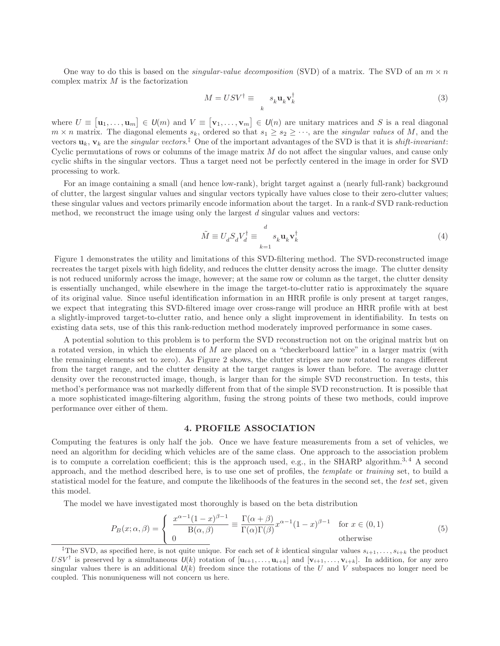One way to do this is based on the *singular-value decomposition* (SVD) of a matrix. The SVD of an  $m \times n$ complex matrix  $M$  is the factorization

$$
M = USV^{\dagger} \equiv \frac{s_k \mathbf{u}_k \mathbf{v}_k^{\dagger}}{k} \tag{3}
$$

where  $U \equiv [\mathbf{u}_1,\ldots,\mathbf{u}_m] \in U(m)$  and  $V \equiv [\mathbf{v}_1,\ldots,\mathbf{v}_m] \in U(n)$  are unitary matrices and S is a real diagonal  $m \times n$  matrix. The diagonal elements  $s_k$ , ordered so that  $s_1 \geq s_2 \geq \cdots$ , are the *singular values* of M, and the vectors  $\mathbf{u}_k$ ,  $\mathbf{v}_k$  are the *singular vectors*.<sup> $\ddagger$ </sup> One of the important advantages of the SVD is that it is *shift-invariant*: Cyclic permutations of rows or columns of the image matrix  $M$  do not affect the singular values, and cause only cyclic shifts in the singular vectors. Thus a target need not be perfectly centered in the image in order for SVD processing to work.

For an image containing a small (and hence low-rank), bright target against a (nearly full-rank) background of clutter, the largest singular values and singular vectors typically have values close to their zero-clutter values; these singular values and vectors primarily encode information about the target. In a rank-d SVD rank-reduction method, we reconstruct the image using only the largest  $d$  singular values and vectors:

$$
\tilde{M} \equiv U_d S_d V_d^{\dagger} \equiv \frac{d}{k=1} s_k \mathbf{u}_k \mathbf{v}_k^{\dagger}
$$
\n
$$
\tag{4}
$$

Figure 1 demonstrates the utility and limitations of this SVD-filtering method. The SVD-reconstructed image recreates the target pixels with high fidelity, and reduces the clutter density across the image. The clutter density is not reduced uniformly across the image, however; at the same row or column as the target, the clutter density is essentially unchanged, while elsewhere in the image the target-to-clutter ratio is approximately the square of its original value. Since useful identification information in an HRR profile is only present at target ranges, we expect that integrating this SVD-filtered image over cross-range will produce an HRR profile with at best a slightly-improved target-to-clutter ratio, and hence only a slight improvement in identifiability. In tests on existing data sets, use of this this rank-reduction method moderately improved performance in some cases.

A potential solution to this problem is to perform the SVD reconstruction not on the original matrix but on a rotated version, in which the elements of M are placed on a "checkerboard lattice" in a larger matrix (with the remaining elements set to zero). As Figure 2 shows, the clutter stripes are now rotated to ranges different from the target range, and the clutter density at the target ranges is lower than before. The average clutter density over the reconstructed image, though, is larger than for the simple SVD reconstruction. In tests, this method's performance was not markedly different from that of the simple SVD reconstruction. It is possible that a more sophisticated image-filtering algorithm, fusing the strong points of these two methods, could improve performance over either of them.

#### **4. PROFILE ASSOCIATION**

Computing the features is only half the job. Once we have feature measurements from a set of vehicles, we need an algorithm for deciding which vehicles are of the same class. One approach to the association problem is to compute a correlation coefficient; this is the approach used, e.g., in the SHARP algorithm.<sup>3, 4</sup> A second approach, and the method described here, is to use one set of profiles, the template or training set, to build a statistical model for the feature, and compute the likelihoods of the features in the second set, the test set, given this model.

The model we have investigated most thoroughly is based on the beta distribution

$$
P_B(x; \alpha, \beta) = \begin{cases} \frac{x^{\alpha - 1}(1 - x)^{\beta - 1}}{B(\alpha, \beta)} \equiv \frac{\Gamma(\alpha + \beta)}{\Gamma(\alpha)\Gamma(\beta)} x^{\alpha - 1}(1 - x)^{\beta - 1} & \text{for } x \in (0, 1) \\ 0 & \text{otherwise} \end{cases}
$$
(5)

<sup>&</sup>lt;sup>‡</sup>The SVD, as specified here, is not quite unique. For each set of k identical singular values  $s_{i+1},\ldots,s_{i+k}$  the product  $USV^{\dagger}$  is preserved by a simultaneous  $U(k)$  rotation of  $[\mathbf{u}_{i+1},\ldots,\mathbf{u}_{i+k}]$  and  $[\mathbf{v}_{i+1},\ldots,\mathbf{v}_{i+k}]$ . In addition, for any zero singular values there is an additional  $U(k)$  freedom since the rotations of the U and V subspaces no longer need be coupled. This nonuniqueness will not concern us here.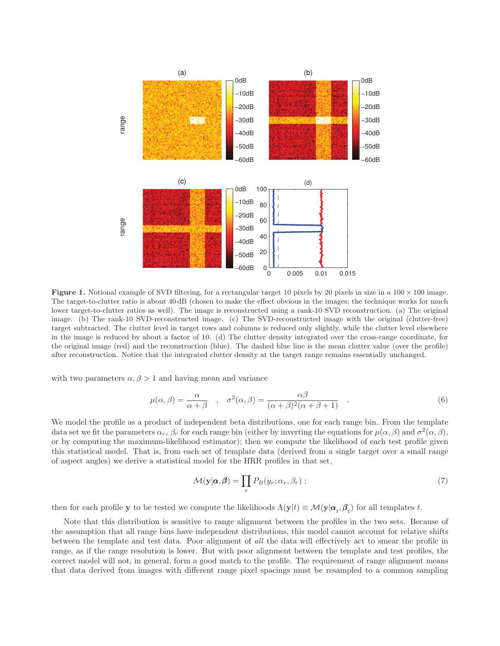

**Figure** 1. Notional example of SVD filtering, for a rectangular target 10 pixels by 20 pixels in size in a  $100 \times 100$  image. The target-to-clutter ratio is about 40 dB (chosen to make the effect obvious in the images; the technique works for much lower target-to-clutter ratios as well). The image is reconstructed using a rank-10 SVD reconstruction. (a) The original image. (b) The rank-10 SVD-reconstructed image. (c) The SVD-reconstructed image with the original (clutter-free) target subtracted. The clutter level in target rows and columns is reduced only slightly, while the clutter level elsewhere in the image is reduced by about a factor of 10. (d) The clutter density integrated over the cross-range coordinate, for the original image (red) and the reconstruction (blue). The dashed blue line is the mean clutter value (over the profile) after reconstruction. Notice that the integrated clutter density at the target range remains essentially unchanged.

with two parameters  $\alpha, \beta > 1$  and having mean and variance

$$
\mu(\alpha,\beta) = \frac{\alpha}{\alpha+\beta} \quad , \quad \sigma^2(\alpha,\beta) = \frac{\alpha\beta}{(\alpha+\beta)^2(\alpha+\beta+1)} \quad . \tag{6}
$$

We model the profile as a product of independent beta distributions, one for each range bin. From the template data set we fit the parameters  $\alpha_r$ ,  $\beta_r$  for each range bin (either by inverting the equations for  $\mu(\alpha, \beta)$  and  $\sigma^2(\alpha, \beta)$ , or by computing the maximum-likelihood estimator); then we compute the likelihood of each test profile given this statistical model. That is, from each set of template data (derived from a single target over a small range of aspect angles) we derive a statistical model for the HRR profiles in that set,

$$
\mathcal{M}(\mathbf{y}|\boldsymbol{\alpha},\boldsymbol{\beta}) = \prod_{r} P_B(y_r;\alpha_r,\beta_r) ;
$$
\n(7)

then for each profile **y** to be tested we compute the likelihoods  $\Lambda(\mathbf{y}|t) \equiv \mathcal{M}(\mathbf{y}|\boldsymbol{\alpha}_t, \boldsymbol{\beta}_t)$  for all templates t.

Note that this distribution is sensitive to range alignment between the profiles in the two sets. Because of the assumption that all range bins have independent distributions, this model cannot account for relative shifts between the template and test data. Poor alignment of all the data will effectively act to smear the profile in range, as if the range resolution is lower. But with poor alignment between the template and test profiles, the correct model will not, in general, form a good match to the profile. The requirement of range alignment means that data derived from images with different range pixel spacings must be resampled to a common sampling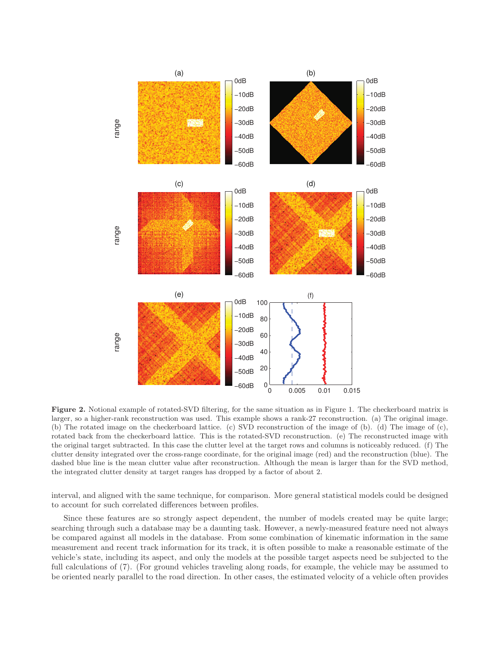

**Figure 2.** Notional example of rotated-SVD filtering, for the same situation as in Figure 1. The checkerboard matrix is larger, so a higher-rank reconstruction was used. This example shows a rank-27 reconstruction. (a) The original image. (b) The rotated image on the checkerboard lattice. (c) SVD reconstruction of the image of (b). (d) The image of (c), rotated back from the checkerboard lattice. This is the rotated-SVD reconstruction. (e) The reconstructed image with the original target subtracted. In this case the clutter level at the target rows and columns is noticeably reduced. (f) The clutter density integrated over the cross-range coordinate, for the original image (red) and the reconstruction (blue). The dashed blue line is the mean clutter value after reconstruction. Although the mean is larger than for the SVD method, the integrated clutter density at target ranges has dropped by a factor of about 2.

interval, and aligned with the same technique, for comparison. More general statistical models could be designed to account for such correlated differences between profiles.

Since these features are so strongly aspect dependent, the number of models created may be quite large; searching through such a database may be a daunting task. However, a newly-measured feature need not always be compared against all models in the database. From some combination of kinematic information in the same measurement and recent track information for its track, it is often possible to make a reasonable estimate of the vehicle's state, including its aspect, and only the models at the possible target aspects need be subjected to the full calculations of (7). (For ground vehicles traveling along roads, for example, the vehicle may be assumed to be oriented nearly parallel to the road direction. In other cases, the estimated velocity of a vehicle often provides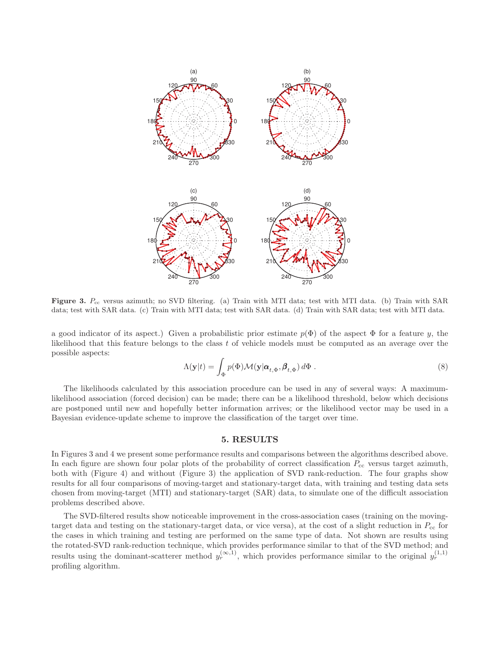

**Figure 3.** <sup>P</sup>cc versus azimuth; no SVD filtering. (a) Train with MTI data; test with MTI data. (b) Train with SAR data; test with SAR data. (c) Train with MTI data; test with SAR data. (d) Train with SAR data; test with MTI data.

a good indicator of its aspect.) Given a probabilistic prior estimate  $p(\Phi)$  of the aspect  $\Phi$  for a feature y, the likelihood that this feature belongs to the class t of vehicle models must be computed as an average over the possible aspects:

$$
\Lambda(\mathbf{y}|t) = \int_{\Phi} p(\Phi) \mathcal{M}(\mathbf{y}|\boldsymbol{\alpha}_{t,\Phi}, \boldsymbol{\beta}_{t,\Phi}) d\Phi . \tag{8}
$$

The likelihoods calculated by this association procedure can be used in any of several ways: A maximumlikelihood association (forced decision) can be made; there can be a likelihood threshold, below which decisions are postponed until new and hopefully better information arrives; or the likelihood vector may be used in a Bayesian evidence-update scheme to improve the classification of the target over time.

#### **5. RESULTS**

In Figures 3 and 4 we present some performance results and comparisons between the algorithms described above. In each figure are shown four polar plots of the probability of correct classification  $P_{cc}$  versus target azimuth, both with (Figure 4) and without (Figure 3) the application of SVD rank-reduction. The four graphs show results for all four comparisons of moving-target and stationary-target data, with training and testing data sets chosen from moving-target (MTI) and stationary-target (SAR) data, to simulate one of the difficult association problems described above.

The SVD-filtered results show noticeable improvement in the cross-association cases (training on the movingtarget data and testing on the stationary-target data, or vice versa), at the cost of a slight reduction in  $P_{cc}$  for the cases in which training and testing are performed on the same type of data. Not shown are results using the rotated-SVD rank-reduction technique, which provides performance similar to that of the SVD method; and results using the dominant-scatterer method  $y_r^{(\infty,1)}$ , which provides performance similar to the original  $y_r^{(1,1)}$ profiling algorithm.